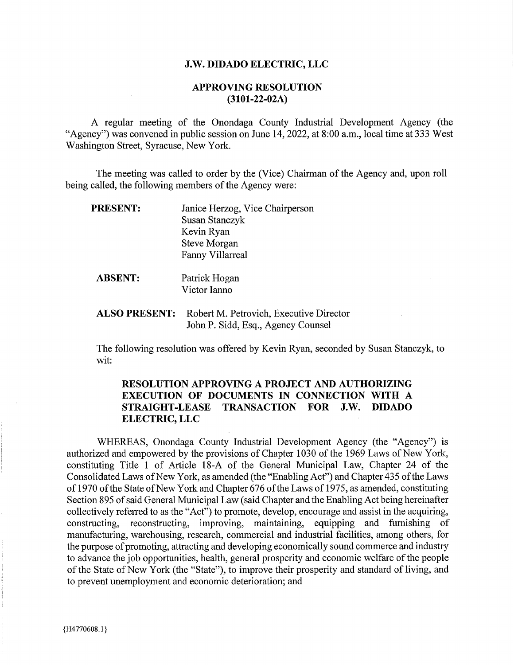#### J.W. DIDADO ELECTRIC, LLC

## **APPROVING RESOLUTION**  $(3101 - 22 - 02A)$

A regular meeting of the Onondaga County Industrial Development Agency (the "Agency" was convened in public session on June 14, 2022, at 8:00 a.m., local time at 333 West Washington Street, Syracuse, New York.

The meeting was called to order by the (Vice) Chairman of the Agency and, upon roll being called, the following members of the Agency were:

| <b>PRESENT:</b> | Janice Herzog, Vice Chairperson |  |  |  |  |  |  |
|-----------------|---------------------------------|--|--|--|--|--|--|
|                 | Susan Stanczyk                  |  |  |  |  |  |  |
|                 | Kevin Ryan                      |  |  |  |  |  |  |
|                 | <b>Steve Morgan</b>             |  |  |  |  |  |  |
|                 | <b>Fanny Villarreal</b>         |  |  |  |  |  |  |
|                 |                                 |  |  |  |  |  |  |
| <b>ABSENT:</b>  | Patrick Hogan                   |  |  |  |  |  |  |
|                 | Victor Ianno                    |  |  |  |  |  |  |
|                 |                                 |  |  |  |  |  |  |

# **ALSO PRESENT:** Robert M. Petrovich, Executive Director John P. Sidd, Esq., Agency Counsel

The following resolution was offered by Kevin Ryan, seconded by Susan Stanczyk, to wit:

# **RESOLUTION APPROVING A PROJECT AND AUTHORIZING** EXECUTION OF DOCUMENTS IN CONNECTION WITH A STRAIGHT-LEASE TRANSACTION FOR J.W. DIDADO **ELECTRIC, LLC**

WHEREAS, Onondaga County Industrial Development Agency (the "Agency") is authorized and empowered by the provisions of Chapter 1030 of the 1969 Laws of New York, constituting Title 1 of Article 18-A of the General Municipal Law, Chapter 24 of the Consolidated Laws of New York, as amended (the "Enabling Act") and Chapter 435 of the Laws of 1970 of the State of New York and Chapter 676 of the Laws of 1975, as amended, constituting Section 895 of said General Municipal Law (said Chapter and the Enabling Act being hereinafter collectively referred to as the "Act") to promote, develop, encourage and assist in the acquiring, constructing, reconstructing, improving, maintaining, equipping and furnishing of manufacturing, warehousing, research, commercial and industrial facilities, among others, for the purpose of promoting, attracting and developing economically sound commerce and industry to advance the job opportunities, health, general prosperity and economic welfare of the people of the State of New York (the "State"), to improve their prosperity and standard of living, and to prevent unemployment and economic deterioration; and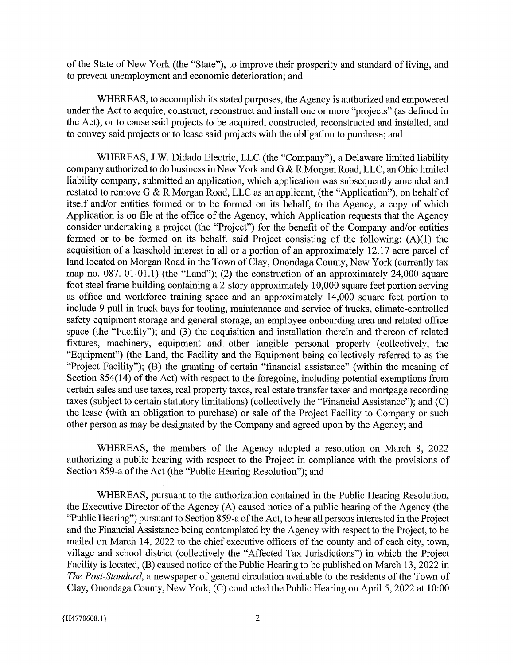of the State of New York (the "State"), to improve their prosperity and standard of living, and to prevent unemployment and economic deterioration; and

WHEREAS, to accomplish its stated purposes, the Agency is authorized and empowered under the Act to acquire, construct, reconstruct and install one or more "projects" (as defined in the Act), or to cause said projects to be acquired, constructed, reconstructed and installed, and to convey said projects or to lease said projects with the obligation to purchase; and

WHEREAS, J.W. Didado Electric, LLC (the "Company"), a Delaware limited liability company authorized to do business in New York and G & R Morgan Road, LLC, an Ohio limited liability company, submitted an application, which application was subsequently amended and restated to remove G & R Morgan Road, LLC as an applicant, (the "Application"), on behalf of itself and/or entities formed or to be formed on its behalf, to the Agency, a copy of which Application is on file at the office of the Agency, which Application requests that the Agency consider undertaking a project (the "Project") for the benefit of the Company and/or entities formed or to be formed on its behalf, said Project consisting of the following:  $(A)(1)$  the acquisition of a leasehold interest in all or a portion of an approximately 12.17 acre parcel of land located on Morgan Road in the Town of Clay, Onondaga County, New York (currently tax map no.  $087.-01-01.1$ ) (the "Land"); (2) the construction of an approximately 24,000 square foot steel frame building containing a 2-story approximately 10,000 square feet portion serving as office and workforce training space and an approximately 14,000 square feet portion to include 9 pull-in truck bays for tooling, maintenance and service of trucks, climate-controlled safety equipment storage and general storage, an employee onboarding area and related office space (the "Facility"); and (3) the acquisition and installation therein and thereon of related fixtures, machinery, equipment and other tangible personal property (collectively, the "Equipment") (the Land, the Facility and the Equipment being collectively referred to as the "Project Facility"); (B) the granting of certain "financial assistance" (within the meaning of Section 854(14) of the Act) with respect to the foregoing, including potential exemptions from certain sales and use taxes, real property taxes, real estate transfer taxes and mortgage recording taxes (subject to certain statutory limitations) (collectively the "Financial Assistance"); and (C) the lease (with an obligation to purchase) or sale of the Project Facility to Company or such other person as may be designated by the Company and agreed upon by the Agency; and

WHEREAS, the members of the Agency adopted a resolution on March 8, 2022 authorizing a public hearing with respect to the Project in compliance with the provisions of Section 859-a of the Act (the "Public Hearing Resolution"); and

WHEREAS, pursuant to the authorization contained in the Public Hearing Resolution, the Executive Director of the Agency (A) caused notice of a public hearing of the Agency (the "Public Hearing") pursuant to Section 859-a of the Act, to hear all persons interested in the Project and the Financial Assistance being contemplated by the Agency with respect to the Project, to be mailed on March 14, 2022 to the chief executive officers of the county and of each city, town, village and school district (collectively the "Affected Tax Jurisdictions") in which the Project Facility is located, (B) caused notice of the Public Hearing to be published on March 13, 2022 in The Post-Standard, a newspaper of general circulation available to the residents of the Town of Clay, Onondaga County, New York, (C) conducted the Public Hearing on April 5, 2022 at 10:00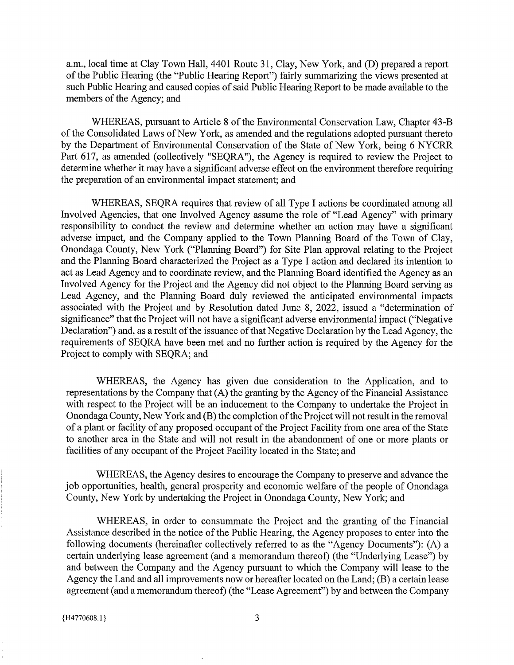a.m., local time at Clay Town Hall, 4401 Route 31, Clay, New York, and (D) prepared a report of the Public Hearing (the "Public Hearing Report") fairly summarizing the views presented at such Public Hearing and caused copies of said Public Hearing Report to be made available to the members of the Agency; and

WHEREAS, pursuant to Article 8 of the Environmental Conservation Law, Chapter 43-B of the Consolidated Laws of New York, as amended and the regulations adopted pursuant thereto by the Department of Environmental Conservation of the State of New York, being 6 NYCRR Part 617, as amended (collectively "SEQRA"), the Agency is required to review the Project to determine whether it may have a significant adverse effect on the environment therefore requiring the preparation of an environmental impact statement; and

WHEREAS, SEQRA requires that review of all Type I actions be coordinated among all Involved Agencies, that one Involved Agency assume the role of "Lead Agency" with primary responsibility to conduct the review and determine whether an action may have a significant adverse impact, and the Company applied to the Town Planning Board of the Town of Clay, Onondaga County, New York ("Planning Board") for Site Plan approval relating to the Project and the Planning Board characterized the Project as a Type I action and declared its intention to act as Lead Agency and to coordinate review, and the Planning Board identified the Agency as an Involved Agency for the Project and the Agency did not object to the Planning Board serving as Lead Agency, and the Planning Board duly reviewed the anticipated environmental impacts associated with the Project and by Resolution dated June 8, 2022, issued a "determination of significance" that the Project will not have a significant adverse environmental impact ("Negative Declaration") and, as a result of the issuance of that Negative Declaration by the Lead Agency, the requirements of SEQRA have been met and no further action is required by the Agency for the Project to comply with SEQRA; and

WHEREAS, the Agency has given due consideration to the Application, and to representations by the Company that (A) the granting by the Agency of the Financial Assistance with respect to the Project will be an inducement to the Company to undertake the Project in Onondaga County, New York and (B) the completion of the Project will not result in the removal of a plant or facility of any proposed occupant of the Project Facility from one area of the State to another area in the State and will not result in the abandonment of one or more plants or facilities of any occupant of the Project Facility located in the State; and

WHEREAS, the Agency desires to encourage the Company to preserve and advance the job opportunities, health, general prosperity and economic welfare of the people of Onondaga County, New York by undertaking the Project in Onondaga County, New York; and

WHEREAS, in order to consummate the Project and the granting of the Financial Assistance described in the notice of the Public Hearing, the Agency proposes to enter into the following documents (hereinafter collectively referred to as the "Agency Documents"): (A) a certain underlying lease agreement (and a memorandum thereof) (the "Underlying Lease") by and between the Company and the Agency pursuant to which the Company will lease to the Agency the Land and all improvements now or hereafter located on the Land; (B) a certain lease agreement (and a memorandum thereof) (the "Lease Agreement") by and between the Company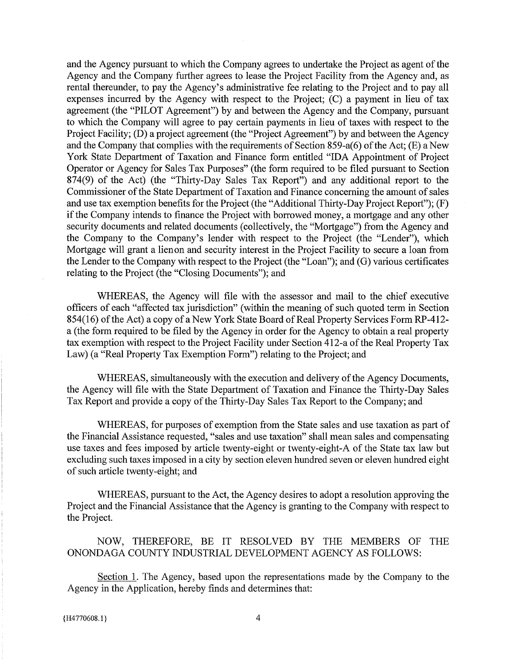and the Agency pursuant to which the Company agrees to undertake the Project as agent of the Agency and the Company further agrees to lease the Project Facility from the Agency and, as rental thereunder, to pay the Agency's administrative fee relating to the Project and to pay all expenses incurred by the Agency with respect to the Project: (C) a payment in lieu of tax agreement (the "PILOT Agreement") by and between the Agency and the Company, pursuant to which the Company will agree to pay certain payments in lieu of taxes with respect to the Project Facility; (D) a project agreement (the "Project Agreement") by and between the Agency and the Company that complies with the requirements of Section 859-a(6) of the Act; (E) a New York State Department of Taxation and Finance form entitled "IDA Appointment of Project Operator or Agency for Sales Tax Purposes" (the form required to be filed pursuant to Section 874(9) of the Act) (the "Thirty-Day Sales Tax Report") and any additional report to the Commissioner of the State Department of Taxation and Finance concerning the amount of sales and use tax exemption benefits for the Project (the "Additional Thirty-Day Project Report"); (F) if the Company intends to finance the Project with borrowed money, a mortgage and any other security documents and related documents (collectively, the "Mortgage") from the Agency and the Company to the Company's lender with respect to the Project (the "Lender"), which Mortgage will grant a lienon and security interest in the Project Facility to secure a loan from the Lender to the Company with respect to the Project (the "Loan"); and (G) various certificates relating to the Project (the "Closing Documents"); and

WHEREAS, the Agency will file with the assessor and mail to the chief executive officers of each "affected tax jurisdiction" (within the meaning of such quoted term in Section 854(16) of the Act) a copy of a New York State Board of Real Property Services Form RP-412a (the form required to be filed by the Agency in order for the Agency to obtain a real property tax exemption with respect to the Project Facility under Section 412-a of the Real Property Tax Law) (a "Real Property Tax Exemption Form") relating to the Project; and

WHEREAS, simultaneously with the execution and delivery of the Agency Documents, the Agency will file with the State Department of Taxation and Finance the Thirty-Day Sales Tax Report and provide a copy of the Thirty-Day Sales Tax Report to the Company; and

WHEREAS, for purposes of exemption from the State sales and use taxation as part of the Financial Assistance requested, "sales and use taxation" shall mean sales and compensating use taxes and fees imposed by article twenty-eight or twenty-eight-A of the State tax law but excluding such taxes imposed in a city by section eleven hundred seven or eleven hundred eight of such article twenty-eight; and

WHEREAS, pursuant to the Act, the Agency desires to adopt a resolution approving the Project and the Financial Assistance that the Agency is granting to the Company with respect to the Project.

NOW, THEREFORE, BE IT RESOLVED BY THE MEMBERS OF THE ONONDAGA COUNTY INDUSTRIAL DEVELOPMENT AGENCY AS FOLLOWS:

Section 1. The Agency, based upon the representations made by the Company to the Agency in the Application, hereby finds and determines that: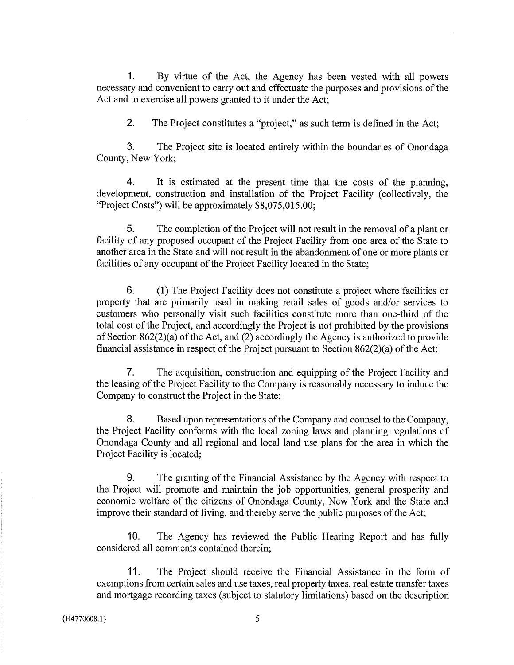By virtue of the Act, the Agency has been vested with all powers  $\mathbf 1$ necessary and convenient to carry out and effectuate the purposes and provisions of the Act and to exercise all powers granted to it under the Act;

 $\mathbf{2}$ The Project constitutes a "project," as such term is defined in the Act;

 $3<sub>l</sub>$ The Project site is located entirely within the boundaries of Onondaga County, New York;

 $\overline{4}$ It is estimated at the present time that the costs of the planning, development, construction and installation of the Project Facility (collectively, the "Project Costs") will be approximately \$8,075,015.00;

5. The completion of the Project will not result in the removal of a plant or facility of any proposed occupant of the Project Facility from one area of the State to another area in the State and will not result in the abandonment of one or more plants or facilities of any occupant of the Project Facility located in the State;

 $6.$ (1) The Project Facility does not constitute a project where facilities or property that are primarily used in making retail sales of goods and/or services to customers who personally visit such facilities constitute more than one-third of the total cost of the Project, and accordingly the Project is not prohibited by the provisions of Section  $862(2)(a)$  of the Act, and (2) accordingly the Agency is authorized to provide financial assistance in respect of the Project pursuant to Section  $862(2)(a)$  of the Act;

 $7<sub>1</sub>$ The acquisition, construction and equipping of the Project Facility and the leasing of the Project Facility to the Company is reasonably necessary to induce the Company to construct the Project in the State;

Based upon representations of the Company and counsel to the Company, 8. the Project Facility conforms with the local zoning laws and planning regulations of Onondaga County and all regional and local land use plans for the area in which the Project Facility is located;

9. The granting of the Financial Assistance by the Agency with respect to the Project will promote and maintain the job opportunities, general prosperity and economic welfare of the citizens of Onondaga County, New York and the State and improve their standard of living, and thereby serve the public purposes of the Act;

10. The Agency has reviewed the Public Hearing Report and has fully considered all comments contained therein;

 $11.$ The Project should receive the Financial Assistance in the form of exemptions from certain sales and use taxes, real property taxes, real estate transfer taxes and mortgage recording taxes (subject to statutory limitations) based on the description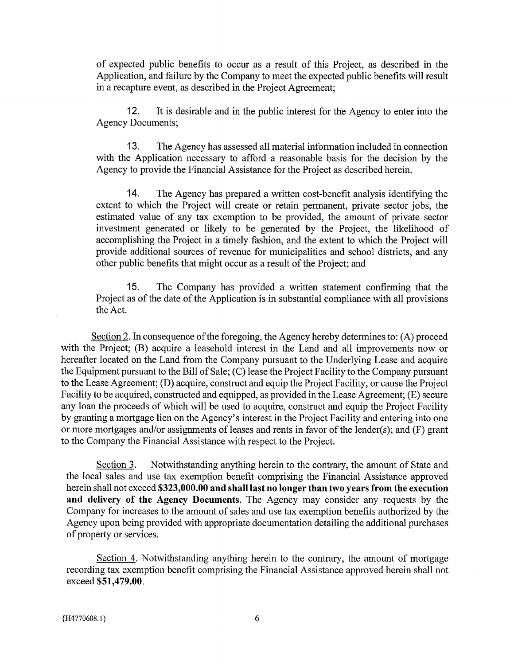of expected public benefits to occur as a result of this Project, as described in the Application, and failure by the Company to meet the expected public benefits will result in a recapture event, as described in the Project Agreement;

 $12.$ It is desirable and in the public interest for the Agency to enter into the **Agency Documents;** 

 $13.$ The Agency has assessed all material information included in connection with the Application necessary to afford a reasonable basis for the decision by the Agency to provide the Financial Assistance for the Project as described herein.

14. The Agency has prepared a written cost-benefit analysis identifying the extent to which the Project will create or retain permanent, private sector jobs, the estimated value of any tax exemption to be provided, the amount of private sector investment generated or likely to be generated by the Project, the likelihood of accomplishing the Project in a timely fashion, and the extent to which the Project will provide additional sources of revenue for municipalities and school districts, and any other public benefits that might occur as a result of the Project; and

 $15.$ The Company has provided a written statement confirming that the Project as of the date of the Application is in substantial compliance with all provisions the Act.

Section 2. In consequence of the foregoing, the Agency hereby determines to:  $(A)$  proceed with the Project; (B) acquire a leasehold interest in the Land and all improvements now or hereafter located on the Land from the Company pursuant to the Underlying Lease and acquire the Equipment pursuant to the Bill of Sale; (C) lease the Project Facility to the Company pursuant to the Lease Agreement; (D) acquire, construct and equip the Project Facility, or cause the Project Facility to be acquired, constructed and equipped, as provided in the Lease Agreement; (E) secure any loan the proceeds of which will be used to acquire, construct and equip the Project Facility by granting a mortgage lien on the Agency's interest in the Project Facility and entering into one or more mortgages and/or assignments of leases and rents in favor of the lender(s); and (F) grant to the Company the Financial Assistance with respect to the Project.

Section 3. Notwithstanding anything herein to the contrary, the amount of State and the local sales and use tax exemption benefit comprising the Financial Assistance approved herein shall not exceed \$323,000.00 and shall last no longer than two years from the execution and delivery of the Agency Documents. The Agency may consider any requests by the Company for increases to the amount of sales and use tax exemption benefits authorized by the Agency upon being provided with appropriate documentation detailing the additional purchases of property or services.

Section 4. Notwithstanding anything herein to the contrary, the amount of mortgage recording tax exemption benefit comprising the Financial Assistance approved herein shall not exceed \$51,479.00.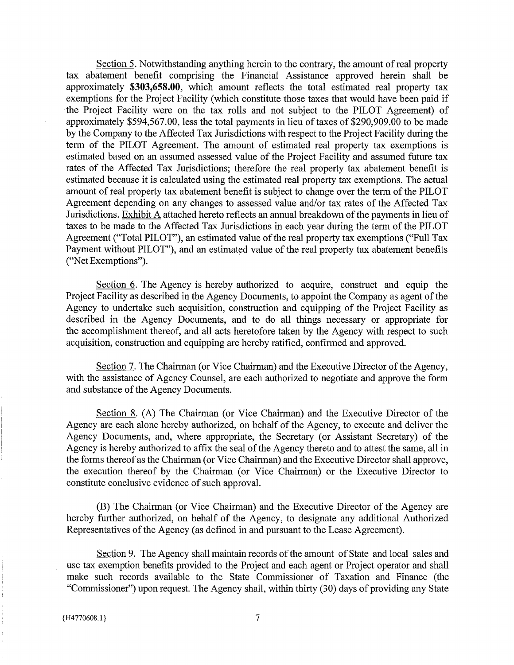Section 5. Notwithstanding anything herein to the contrary, the amount of real property tax abatement benefit comprising the Financial Assistance approved herein shall be approximately \$303,658.00, which amount reflects the total estimated real property tax exemptions for the Project Facility (which constitute those taxes that would have been paid if the Project Facility were on the tax rolls and not subject to the PILOT Agreement) of approximately \$594,567.00, less the total payments in lieu of taxes of \$290,909.00 to be made by the Company to the Affected Tax Jurisdictions with respect to the Project Facility during the term of the PILOT Agreement. The amount of estimated real property tax exemptions is estimated based on an assumed assessed value of the Project Facility and assumed future tax rates of the Affected Tax Jurisdictions; therefore the real property tax abatement benefit is estimated because it is calculated using the estimated real property tax exemptions. The actual amount of real property tax abatement benefit is subject to change over the term of the PILOT Agreement depending on any changes to assessed value and/or tax rates of the Affected Tax Jurisdictions. Exhibit A attached hereto reflects an annual breakdown of the payments in lieu of taxes to be made to the Affected Tax Jurisdictions in each year during the term of the PILOT Agreement ("Total PILOT"), an estimated value of the real property tax exemptions ("Full Tax Payment without PILOT"), and an estimated value of the real property tax abatement benefits ("Net Exemptions").

Section 6. The Agency is hereby authorized to acquire, construct and equip the Project Facility as described in the Agency Documents, to appoint the Company as agent of the Agency to undertake such acquisition, construction and equipping of the Project Facility as described in the Agency Documents, and to do all things necessary or appropriate for the accomplishment thereof, and all acts heretofore taken by the Agency with respect to such acquisition, construction and equipping are hereby ratified, confirmed and approved.

Section 7. The Chairman (or Vice Chairman) and the Executive Director of the Agency, with the assistance of Agency Counsel, are each authorized to negotiate and approve the form and substance of the Agency Documents.

Section 8. (A) The Chairman (or Vice Chairman) and the Executive Director of the Agency are each alone hereby authorized, on behalf of the Agency, to execute and deliver the Agency Documents, and, where appropriate, the Secretary (or Assistant Secretary) of the Agency is hereby authorized to affix the seal of the Agency thereto and to attest the same, all in the forms thereof as the Chairman (or Vice Chairman) and the Executive Director shall approve, the execution thereof by the Chairman (or Vice Chairman) or the Executive Director to constitute conclusive evidence of such approval.

(B) The Chairman (or Vice Chairman) and the Executive Director of the Agency are hereby further authorized, on behalf of the Agency, to designate any additional Authorized Representatives of the Agency (as defined in and pursuant to the Lease Agreement).

Section 9. The Agency shall maintain records of the amount of State and local sales and use tax exemption benefits provided to the Project and each agent or Project operator and shall make such records available to the State Commissioner of Taxation and Finance (the "Commissioner") upon request. The Agency shall, within thirty (30) days of providing any State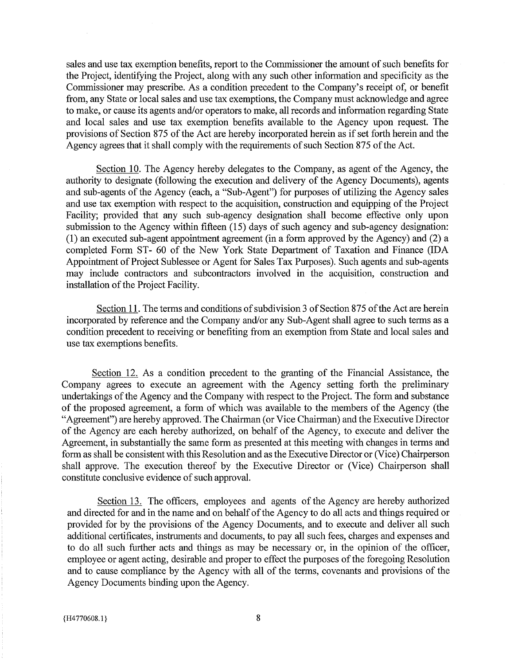sales and use tax exemption benefits, report to the Commissioner the amount of such benefits for the Project, identifying the Project, along with any such other information and specificity as the Commissioner may prescribe. As a condition precedent to the Company's receipt of, or benefit from, any State or local sales and use tax exemptions, the Company must acknowledge and agree to make, or cause its agents and/or operators to make, all records and information regarding State and local sales and use tax exemption benefits available to the Agency upon request. The provisions of Section 875 of the Act are hereby incorporated herein as if set forth herein and the Agency agrees that it shall comply with the requirements of such Section 875 of the Act.

Section 10. The Agency hereby delegates to the Company, as agent of the Agency, the authority to designate (following the execution and delivery of the Agency Documents), agents and sub-agents of the Agency (each, a "Sub-Agent") for purposes of utilizing the Agency sales and use tax exemption with respect to the acquisition, construction and equipping of the Project Facility; provided that any such sub-agency designation shall become effective only upon submission to the Agency within fifteen (15) days of such agency and sub-agency designation: (1) an executed sub-agent appointment agreement (in a form approved by the Agency) and (2) a completed Form ST- 60 of the New York State Department of Taxation and Finance (IDA Appointment of Project Sublessee or Agent for Sales Tax Purposes). Such agents and sub-agents may include contractors and subcontractors involved in the acquisition, construction and installation of the Project Facility.

Section 11. The terms and conditions of subdivision 3 of Section 875 of the Act are herein incorporated by reference and the Company and/or any Sub-Agent shall agree to such terms as a condition precedent to receiving or benefiting from an exemption from State and local sales and use tax exemptions benefits.

Section 12. As a condition precedent to the granting of the Financial Assistance, the Company agrees to execute an agreement with the Agency setting forth the preliminary undertakings of the Agency and the Company with respect to the Project. The form and substance of the proposed agreement, a form of which was available to the members of the Agency (the "Agreement") are hereby approved. The Chairman (or Vice Chairman) and the Executive Director of the Agency are each hereby authorized, on behalf of the Agency, to execute and deliver the Agreement, in substantially the same form as presented at this meeting with changes in terms and form as shall be consistent with this Resolution and as the Executive Director or (Vice) Chairperson shall approve. The execution thereof by the Executive Director or (Vice) Chairperson shall constitute conclusive evidence of such approval.

Section 13. The officers, employees and agents of the Agency are hereby authorized and directed for and in the name and on behalf of the Agency to do all acts and things required or provided for by the provisions of the Agency Documents, and to execute and deliver all such additional certificates, instruments and documents, to pay all such fees, charges and expenses and to do all such further acts and things as may be necessary or, in the opinion of the officer, employee or agent acting, desirable and proper to effect the purposes of the foregoing Resolution and to cause compliance by the Agency with all of the terms, covenants and provisions of the Agency Documents binding upon the Agency.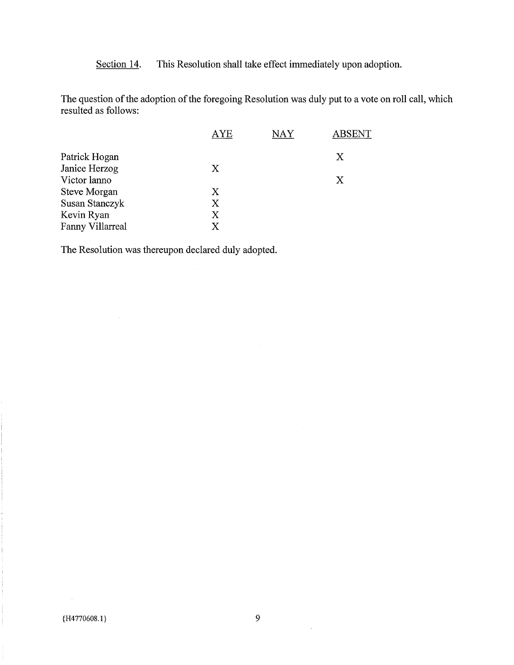Section 14. This Resolution shall take effect immediately upon adoption.

The question of the adoption of the foregoing Resolution was duly put to a vote on roll call, which resulted as follows:

 $\mathcal{A}^{\mathcal{A}}$ 

|                       | <b>AYE</b> | NAY | <b>ABSENT</b> |
|-----------------------|------------|-----|---------------|
| Patrick Hogan         |            |     | Χ             |
| Janice Herzog         | X          |     |               |
| Victor lanno          |            |     | X             |
| Steve Morgan          | Χ          |     |               |
| <b>Susan Stanczyk</b> | X          |     |               |
| Kevin Ryan            | X          |     |               |
| Fanny Villarreal      | X          |     |               |

The Resolution was thereupon declared duly adopted.

 $\sim$ 

 $\lambda$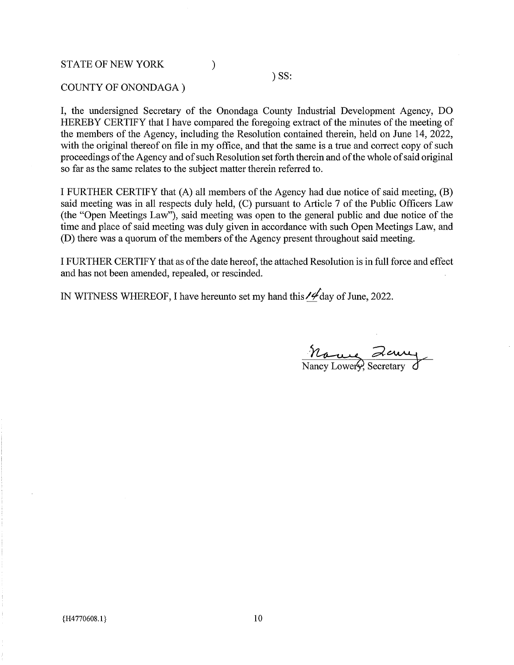## **STATE OF NEW YORK**

 $)$  SS:

### COUNTY OF ONONDAGA)

I, the undersigned Secretary of the Onondaga County Industrial Development Agency, DO HEREBY CERTIFY that I have compared the foregoing extract of the minutes of the meeting of the members of the Agency, including the Resolution contained therein, held on June 14, 2022, with the original thereof on file in my office, and that the same is a true and correct copy of such proceedings of the Agency and of such Resolution set forth therein and of the whole of said original so far as the same relates to the subject matter therein referred to.

 $\mathcal{E}$ 

I FURTHER CERTIFY that (A) all members of the Agency had due notice of said meeting, (B) said meeting was in all respects duly held, (C) pursuant to Article 7 of the Public Officers Law (the "Open Meetings Law"), said meeting was open to the general public and due notice of the time and place of said meeting was duly given in accordance with such Open Meetings Law, and (D) there was a quorum of the members of the Agency present throughout said meeting.

I FURTHER CERTIFY that as of the date hereof, the attached Resolution is in full force and effect and has not been amended, repealed, or rescinded.

IN WITNESS WHEREOF, I have hereunto set my hand this  $\frac{1}{4}$  day of June, 2022.

Marine Zeury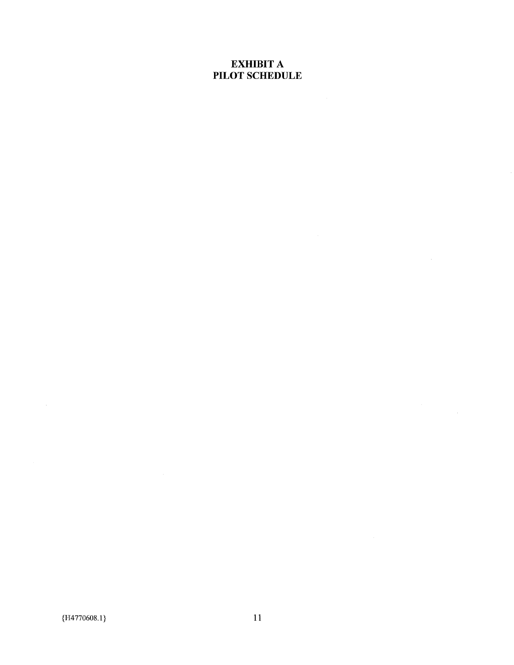# **EXHIBIT A** PILOT SCHEDULE

 $\label{eq:2.1} \begin{split} \mathcal{L}_{\text{max}}(\mathbf{r}) = \mathcal{L}_{\text{max}}(\mathbf{r}) \end{split}$